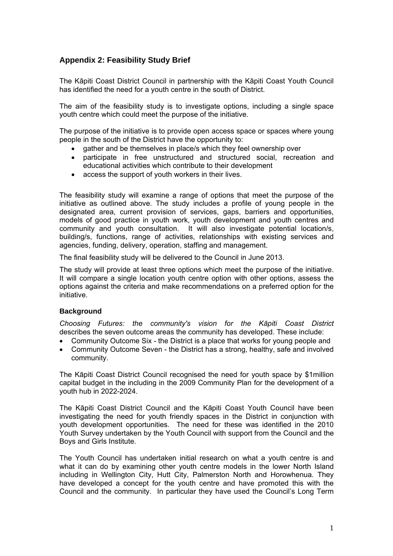# **Appendix 2: Feasibility Study Brief**

The Kāpiti Coast District Council in partnership with the Kāpiti Coast Youth Council has identified the need for a youth centre in the south of District.

The aim of the feasibility study is to investigate options, including a single space youth centre which could meet the purpose of the initiative.

The purpose of the initiative is to provide open access space or spaces where young people in the south of the District have the opportunity to:

- gather and be themselves in place/s which they feel ownership over
- participate in free unstructured and structured social, recreation and educational activities which contribute to their development
- access the support of youth workers in their lives.

The feasibility study will examine a range of options that meet the purpose of the initiative as outlined above. The study includes a profile of young people in the designated area, current provision of services, gaps, barriers and opportunities, models of good practice in youth work, youth development and youth centres and community and youth consultation. It will also investigate potential location/s, building/s, functions, range of activities, relationships with existing services and agencies, funding, delivery, operation, staffing and management.

The final feasibility study will be delivered to the Council in June 2013.

The study will provide at least three options which meet the purpose of the initiative. It will compare a single location youth centre option with other options, assess the options against the criteria and make recommendations on a preferred option for the initiative.

#### **Background**

*[Choosing Futures: the community's vision for the K](http://www.kapiticoast.govt.nz/Documents/Downloads/KCDC-Community-Outcomes-2009.pdf)āpiti Coast District* describes the seven outcome areas the community has developed. These include:

- Community Outcome Six the District is a place that works for young people and
- Community Outcome Seven the District has a strong, healthy, safe and involved community.

The Kāpiti Coast District Council recognised the need for youth space by \$1million capital budget in the including in the 2009 Community Plan for the development of a youth hub in 2022-2024.

The Kāpiti Coast District Council and the Kāpiti Coast Youth Council have been investigating the need for youth friendly spaces in the District in conjunction with youth development opportunities. The need for these was identified in the 2010 Youth Survey undertaken by the Youth Council with support from the Council and the Boys and Girls Institute.

The Youth Council has undertaken initial research on what a youth centre is and what it can do by examining other youth centre models in the lower North Island including in Wellington City, Hutt City, Palmerston North and Horowhenua. They have developed a concept for the youth centre and have promoted this with the Council and the community. In particular they have used the Council's Long Term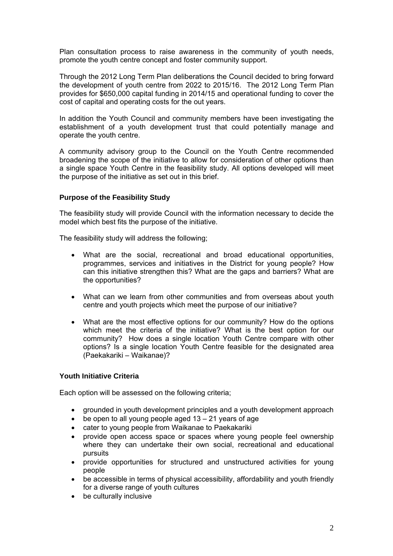Plan consultation process to raise awareness in the community of youth needs, promote the youth centre concept and foster community support.

Through the 2012 Long Term Plan deliberations the Council decided to bring forward the development of youth centre from 2022 to 2015/16. The 2012 Long Term Plan provides for \$650,000 capital funding in 2014/15 and operational funding to cover the cost of capital and operating costs for the out years.

In addition the Youth Council and community members have been investigating the establishment of a youth development trust that could potentially manage and operate the youth centre.

A community advisory group to the Council on the Youth Centre recommended broadening the scope of the initiative to allow for consideration of other options than a single space Youth Centre in the feasibility study. All options developed will meet the purpose of the initiative as set out in this brief.

### **Purpose of the Feasibility Study**

The feasibility study will provide Council with the information necessary to decide the model which best fits the purpose of the initiative.

The feasibility study will address the following;

- What are the social, recreational and broad educational opportunities, programmes, services and initiatives in the District for young people? How can this initiative strengthen this? What are the gaps and barriers? What are the opportunities?
- What can we learn from other communities and from overseas about youth centre and youth projects which meet the purpose of our initiative?
- What are the most effective options for our community? How do the options which meet the criteria of the initiative? What is the best option for our community? How does a single location Youth Centre compare with other options? Is a single location Youth Centre feasible for the designated area (Paekakariki – Waikanae)?

## **Youth Initiative Criteria**

Each option will be assessed on the following criteria;

- grounded in youth development principles and a youth development approach
- $\bullet$  be open to all young people aged 13 21 years of age
- cater to young people from Waikanae to Paekakariki
- provide open access space or spaces where young people feel ownership where they can undertake their own social, recreational and educational pursuits
- provide opportunities for structured and unstructured activities for young people
- be accessible in terms of physical accessibility, affordability and youth friendly for a diverse range of youth cultures
- be culturally inclusive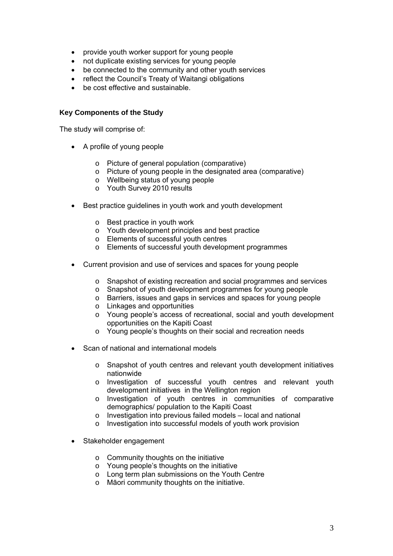- provide youth worker support for young people
- not duplicate existing services for young people
- be connected to the community and other youth services
- reflect the Council's Treaty of Waitangi obligations
- be cost effective and sustainable.

### **Key Components of the Study**

The study will comprise of:

- A profile of young people
	- o Picture of general population (comparative)
	- o Picture of young people in the designated area (comparative)
	- o Wellbeing status of young people
	- o Youth Survey 2010 results
- Best practice guidelines in youth work and youth development
	- o Best practice in youth work
	- o Youth development principles and best practice
	- o Elements of successful youth centres
	- o Elements of successful youth development programmes
- Current provision and use of services and spaces for young people
	- o Snapshot of existing recreation and social programmes and services
	- o Snapshot of youth development programmes for young people
	- o Barriers, issues and gaps in services and spaces for young people
	- o Linkages and opportunities
	- o Young people's access of recreational, social and youth development opportunities on the Kapiti Coast
	- o Young people's thoughts on their social and recreation needs
- Scan of national and international models
	- o Snapshot of youth centres and relevant youth development initiatives nationwide
	- o Investigation of successful youth centres and relevant youth development initiatives in the Wellington region
	- o Investigation of youth centres in communities of comparative demographics/ population to the Kapiti Coast
	- o Investigation into previous failed models local and national
	- o Investigation into successful models of youth work provision
- Stakeholder engagement
	- o Community thoughts on the initiative
	- o Young people's thoughts on the initiative
	- o Long term plan submissions on the Youth Centre
	- o Māori community thoughts on the initiative.